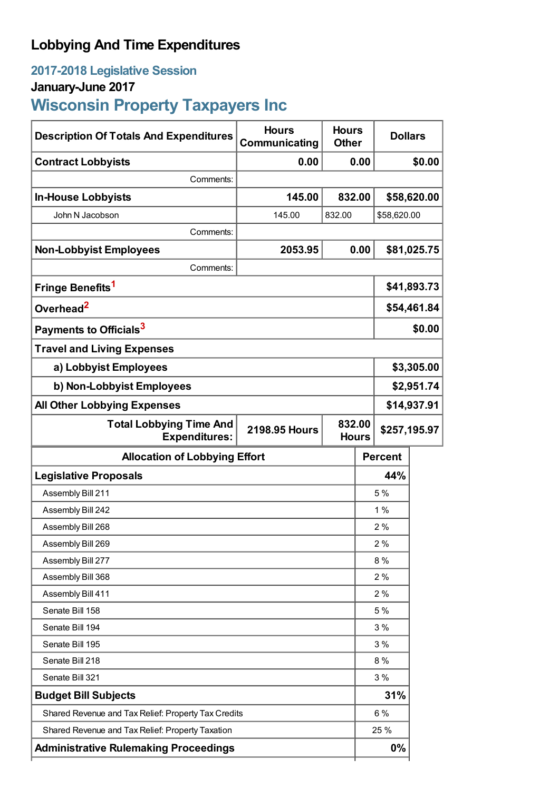# **Lobbying And Time Expenditures**

# **2017-2018 Legislative Session**

# **January-June 2017**

# **Wisconsin Property Taxpayers Inc**

| <b>Description Of Totals And Expenditures</b>          | <b>Hours</b><br>Communicating | <b>Hours</b><br><b>Other</b> |                        | <b>Dollars</b> |              |  |
|--------------------------------------------------------|-------------------------------|------------------------------|------------------------|----------------|--------------|--|
| <b>Contract Lobbyists</b>                              | 0.00                          |                              | 0.00                   |                | \$0.00       |  |
| Comments:                                              |                               |                              |                        |                |              |  |
| <b>In-House Lobbyists</b>                              | 145.00                        | 832.00                       |                        |                | \$58,620.00  |  |
| John N Jacobson                                        | 145.00                        | 832.00                       |                        | \$58,620.00    |              |  |
| Comments:                                              |                               |                              |                        |                |              |  |
| <b>Non-Lobbyist Employees</b>                          | 2053.95                       |                              | 0.00                   |                | \$81,025.75  |  |
| Comments:                                              |                               |                              |                        |                |              |  |
| Fringe Benefits <sup>1</sup>                           |                               |                              |                        | \$41,893.73    |              |  |
| Overhead <sup>2</sup>                                  |                               |                              |                        | \$54,461.84    |              |  |
| Payments to Officials <sup>3</sup>                     |                               |                              |                        | \$0.00         |              |  |
| <b>Travel and Living Expenses</b>                      |                               |                              |                        |                |              |  |
| a) Lobbyist Employees                                  |                               |                              |                        | \$3,305.00     |              |  |
| b) Non-Lobbyist Employees                              |                               |                              |                        | \$2,951.74     |              |  |
| <b>All Other Lobbying Expenses</b>                     |                               |                              |                        | \$14,937.91    |              |  |
| <b>Total Lobbying Time And</b><br><b>Expenditures:</b> | <b>2198.95 Hours</b>          |                              | 832.00<br><b>Hours</b> |                | \$257,195.97 |  |
| <b>Allocation of Lobbying Effort</b>                   |                               |                              |                        | <b>Percent</b> |              |  |
| <b>Legislative Proposals</b>                           |                               |                              |                        | 44%            |              |  |
| Assembly Bill 211                                      |                               |                              |                        | 5 %            |              |  |
| Assembly Bill 242                                      |                               |                              |                        | 1%             |              |  |
| Assembly Bill 268                                      |                               |                              | 2%                     |                |              |  |
| Assembly Bill 269                                      |                               |                              |                        | 2%             |              |  |
| Assembly Bill 277                                      |                               |                              |                        | 8 %            |              |  |
| Assembly Bill 368                                      |                               |                              |                        | 2%             |              |  |
| Assembly Bill 411                                      |                               |                              | 2%                     |                |              |  |
| Senate Bill 158                                        |                               |                              | 5 %                    |                |              |  |
| Senate Bill 194                                        |                               |                              | 3%                     |                |              |  |
| Senate Bill 195                                        |                               |                              | 3%                     |                |              |  |
| Senate Bill 218                                        |                               |                              |                        | 8 %            |              |  |
| Senate Bill 321                                        |                               |                              | 3%                     |                |              |  |
| <b>Budget Bill Subjects</b>                            |                               |                              | 31%                    |                |              |  |
| Shared Revenue and Tax Relief: Property Tax Credits    |                               |                              |                        | 6 %            |              |  |
| Shared Revenue and Tax Relief: Property Taxation       |                               |                              |                        |                |              |  |
|                                                        |                               |                              |                        | 25 %           |              |  |